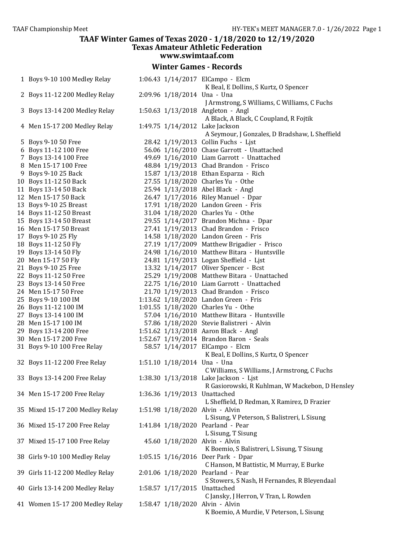#### **TAAF Winter Games of Texas 2020 - 1/18/2020 to 12/19/2020 Texas Amateur Athletic Federation www.swimtaaf.com Winter Games - Records**  Boys 9-10 100 Medley Relay 1:06.43 1/14/2017 ElCampo - Elcm K Beal, E Dollins, S Kurtz, O Spencer Boys 11-12 200 Medley Relay 2:09.96 1/18/2014 Una - Una J Armstrong, S Williams, C Williams, C Fuchs Boys 13-14 200 Medley Relay 1:50.63 1/13/2018 Angleton - Angl A Black, A Black, C Coupland, R Fojtik Men 15-17 200 Medley Relay 1:49.75 1/14/2012 Lake Jackson A Seymour, J Gonzales, D Bradshaw, L Sheffield Boys 9-10 50 Free 28.42 1/19/2013 Collin Fuchs - Ljst Boys 11-12 100 Free 56.06 1/16/2010 Chase Garrott - Unattached Boys 13-14 100 Free 49.69 1/16/2010 Liam Garrott - Unattached Men 15-17 100 Free 48.84 1/19/2013 Chad Brandon - Frisco Boys 9-10 25 Back 15.87 1/13/2018 Ethan Esparza - Rich Boys 11-12 50 Back 27.55 1/18/2020 Charles Yu - Othe Boys 13-14 50 Back 25.94 1/13/2018 Abel Black - Angl Men 15-17 50 Back 26.47 1/17/2016 Riley Manuel - Dpar Boys 9-10 25 Breast 17.91 1/18/2020 Landon Green - Fris Boys 11-12 50 Breast 31.04 1/18/2020 Charles Yu - Othe Boys 13-14 50 Breast 29.55 1/14/2017 Brandon Michna - Dpar Men 15-17 50 Breast 27.41 1/19/2013 Chad Brandon - Frisco Boys 9-10 25 Fly 14.58 1/18/2020 Landon Green - Fris Boys 11-12 50 Fly 27.19 1/17/2009 Matthew Brigadier - Frisco Boys 13-14 50 Fly 24.98 1/16/2010 Matthew Bitara - Huntsville 20 Men 15-17 50 Fly 24.81 1/19/2013 Logan Sheffield - List 21 Boys 9-10 25 Free 13.32 1/14/2017 Oliver Spencer - Bcst Boys 11-12 50 Free 25.29 1/19/2008 Matthew Bitara - Unattached 22.75 1/16/2010 Liam Garrott - Unattached Men 15-17 50 Free 21.70 1/19/2013 Chad Brandon - Frisco Boys 9-10 100 IM 1:13.62 1/18/2020 Landon Green - Fris Boys 11-12 100 IM 1:01.55 1/18/2020 Charles Yu - Othe Boys 13-14 100 IM 57.04 1/16/2010 Matthew Bitara - Huntsville Men 15-17 100 IM 57.86 1/18/2020 Stevie Balistreri - Alvin Boys 13-14 200 Free 1:51.62 1/13/2018 Aaron Black - Angl Men 15-17 200 Free 1:52.67 1/19/2014 Brandon Baron - Seals Boys 9-10 100 Free Relay 58.57 1/14/2017 ElCampo - Elcm K Beal, E Dollins, S Kurtz, O Spencer Boys 11-12 200 Free Relay 1:51.10 1/18/2014 Una - Una C Williams, S Williams, J Armstrong, C Fuchs Boys 13-14 200 Free Relay 1:38.30 1/13/2018 Lake Jackson - Ljst R Gasiorowski, R Kuhlman, W Mackebon, D Hensley Men 15-17 200 Free Relay 1:36.36 1/19/2013 Unattached L Sheffield, D Redman, X Ramirez, D Frazier Mixed 15-17 200 Medley Relay 1:51.98 1/18/2020 Alvin - Alvin L Sisung, V Peterson, S Balistreri, L Sisung Mixed 15-17 200 Free Relay 1:41.84 1/18/2020 Pearland - Pear L Sisung, T Sisung Mixed 15-17 100 Free Relay 45.60 1/18/2020 Alvin - Alvin K Boemio, S Balistreri, L Sisung, T Sisung Girls 9-10 100 Medley Relay 1:05.15 1/16/2016 Deer Park - Dpar C Hanson, M Battistic, M Murray, E Burke Girls 11-12 200 Medley Relay 2:01.06 1/18/2020 Pearland - Pear S Stowers, S Nash, H Fernandes, R Bleyendaal Girls 13-14 200 Medley Relay 1:58.57 1/17/2015 Unattached C Jansky, J Herron, V Tran, L Rowden Women 15-17 200 Medley Relay 1:58.47 1/18/2020 Alvin - Alvin K Boemio, A Murdie, V Peterson, L Sisung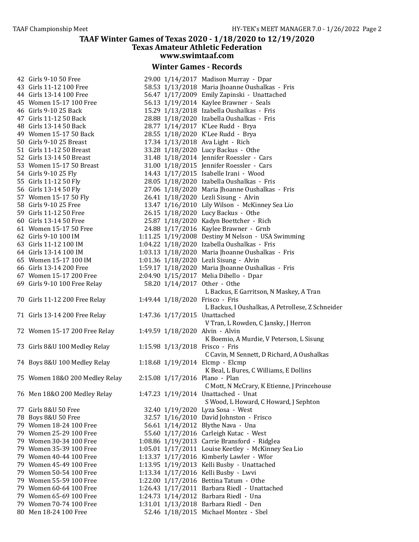#### **Winter Games - Records**

| 42   Girls 9-10 50 Free        |  | 29.00 1/14/2017 Madison Murray - Dpar               |
|--------------------------------|--|-----------------------------------------------------|
| 43 Girls 11-12 100 Free        |  | 58.53 1/13/2018 Maria Jhoanne Oushalkas - Fris      |
| 44 Girls 13-14 100 Free        |  | 56.47 1/17/2009 Emily Zapinski - Unattached         |
| 45 Women 15-17 100 Free        |  | 56.13 1/19/2014 Kaylee Brawner - Seals              |
| 46 Girls 9-10 25 Back          |  | 15.29 1/13/2018 Izabella Oushalkas - Fris           |
| 47 Girls 11-12 50 Back         |  | 28.88 1/18/2020 Izabella Oushalkas - Fris           |
| 48 Girls 13-14 50 Back         |  | 28.77 1/14/2017 K'Lee Rudd - Brya                   |
| 49 Women 15-17 50 Back         |  | 28.55 1/18/2020 K'Lee Rudd - Brya                   |
| 50 Girls 9-10 25 Breast        |  | 17.34 1/13/2018 Ava Light - Rich                    |
| 51 Girls 11-12 50 Breast       |  | 33.28 1/18/2020 Lucy Backus - Othe                  |
| 52 Girls 13-14 50 Breast       |  | 31.48 1/18/2014 Jennifer Roessler - Cars            |
| 53 Women 15-17 50 Breast       |  | 31.00 1/18/2015 Jennifer Roessler - Cars            |
| 54 Girls 9-10 25 Fly           |  | 14.43 1/17/2015 Isabelle Irani - Wood               |
| 55 Girls 11-12 50 Fly          |  | 28.05 1/18/2020 Izabella Oushalkas - Fris           |
| 56 Girls 13-14 50 Fly          |  | 27.06 1/18/2020 Maria Jhoanne Oushalkas - Fris      |
| 57 Women 15-17 50 Fly          |  | 26.41 1/18/2020 Lezli Sisung - Alvin                |
| 58 Girls 9-10 25 Free          |  | 13.47 1/16/2010 Lily Wilson - McKinney Sea Lio      |
| 59 Girls 11-12 50 Free         |  | 26.15 1/18/2020 Lucy Backus - Othe                  |
| 60 Girls 13-14 50 Free         |  | 25.87 1/18/2020 Kadyn Boettcher - Rich              |
| 61 Women 15-17 50 Free         |  | 24.88 1/17/2016 Kaylee Brawner - Grnb               |
| 62 Girls 9-10 100 IM           |  | 1:11.25 1/19/2008 Destiny M Nelson - USA Swimming   |
| 63 Girls 11-12 100 IM          |  | 1:04.22 1/18/2020 Izabella Oushalkas - Fris         |
| 64 Girls 13-14 100 IM          |  | 1:03.13 1/18/2020 Maria Jhoanne Oushalkas - Fris    |
| 65 Women 15-17 100 IM          |  | 1:01.36 1/18/2020 Lezli Sisung - Alvin              |
| 66 Girls 13-14 200 Free        |  | 1:59.17 1/18/2020 Maria Jhoanne Oushalkas - Fris    |
| 67 Women 15-17 200 Free        |  | 2:04.90 1/15/2017 Melia Dibello - Dpar              |
| 69 Girls 9-10 100 Free Relay   |  | 58.20 1/14/2017 Other - Othe                        |
|                                |  | L Backus, E Garritson, N Maskey, A Tran             |
| 70 Girls 11-12 200 Free Relay  |  | 1:49.44 1/18/2020 Frisco - Fris                     |
|                                |  | L Backus, I Oushalkas, A Petrollese, Z Schneider    |
| 71 Girls 13-14 200 Free Relay  |  | 1:47.36 1/17/2015 Unattached                        |
|                                |  | V Tran, L Rowden, C Jansky, J Herron                |
| 72 Women 15-17 200 Free Relay  |  | 1:49.59 1/18/2020 Alvin - Alvin                     |
|                                |  | K Boemio, A Murdie, V Peterson, L Sisung            |
| 73 Girls 8&U 100 Medley Relay  |  | 1:15.98 1/13/2018 Frisco - Fris                     |
|                                |  | C Cavin, M Sennett, D Richard, A Oushalkas          |
| 74 Boys 8&U 100 Medley Relay   |  | 1:18.68 1/19/2014 Elcmp - Elcmp                     |
|                                |  | K Beal, L Bures, C Williams, E Dollins              |
| 75 Women 18&0 200 Medley Relay |  | 2:15.08 1/17/2016 Plano - Plan                      |
|                                |  | C Mott, N McCrary, K Etienne, J Princehouse         |
| 76 Men 18&0 200 Medley Relay   |  | 1:47.23 1/19/2014 Unattached - Unat                 |
|                                |  | S Wood, L Howard, C Howard, J Sephton               |
| 77 Girls 8&U 50 Free           |  | 32.40 1/19/2020 Lyza Sosa - West                    |
| 78 Boys 8&U 50 Free            |  | 32.57 1/16/2010 David Johnston - Frisco             |
| 79 Women 18-24 100 Free        |  | 56.61 1/14/2012 Blythe Nava - Una                   |
| 79 Women 25-29 100 Free        |  | 55.60 1/17/2016 Carleigh Kutac - West               |
| 79 Women 30-34 100 Free        |  | 1:08.86 1/19/2013 Carrie Bransford - Ridglea        |
| 79 Women 35-39 100 Free        |  | 1:05.01 1/17/2011 Louise Keetley - McKinney Sea Lio |
| 79 Women 40-44 100 Free        |  | 1:13.37 1/17/2016 Kimberly Lawler - Wfor            |
| 79 Women 45-49 100 Free        |  | 1:13.95 1/19/2013 Kelli Busby - Unattached          |
| 79 Women 50-54 100 Free        |  | 1:13.34 1/17/2016 Kelli Busby - Lwvi                |
| 79 Women 55-59 100 Free        |  | 1:22.00 1/17/2016 Bettina Tatum - Othe              |
| 79 Women 60-64 100 Free        |  | 1:26.43 1/17/2011 Barbara Riedl - Unattached        |
| 79 Women 65-69 100 Free        |  | 1:24.73 1/14/2012 Barbara Riedl - Una               |
| 79 Women 70-74 100 Free        |  | 1:31.01 1/13/2018 Barbara Riedl - Den               |
| 80 Men 18-24 100 Free          |  | 52.46 1/18/2015 Michael Montez - Sbel               |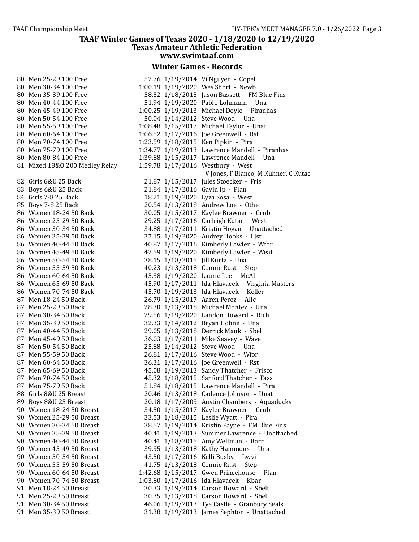## **Winter Games - Records**

| 80 | Men 25-29 100 Free         |
|----|----------------------------|
| 80 | Men 30-34 100 Free         |
| 80 | Men 35-39 100 Free         |
| 80 | Men 40-44 100 Free         |
| 80 | Men 45-49 100 Free         |
| 80 | Men 50-54 100 Free         |
| 80 | Men 55-59 100 Free         |
|    | Men 60-64 100 Free         |
| 80 |                            |
| 80 | Men 70-74 100 Free         |
| 80 | Men 75-79 100 Free         |
| 80 | Men 80-84 100 Free         |
| 81 | Mixed 18&O 200 Medley Rela |
|    |                            |
| 82 | Girls 6&U 25 Back          |
| 83 | Boys 6&U 25 Back           |
| 84 | Girls 7-8 25 Back          |
| 85 | Boys 7-8 25 Back           |
| 86 | <b>Women 18-24 50 Back</b> |
| 86 | <b>Women 25-29 50 Back</b> |
| 86 | <b>Women 30-34 50 Back</b> |
| 86 | Women 35-39 50 Back        |
| 86 | Women 40-44 50 Back        |
| 86 | Women 45-49 50 Back        |
| 86 | Women 50-54 50 Back        |
| 86 | Women 55-59 50 Back        |
| 86 | Women 60-64 50 Back        |
| 86 | Women 65-69 50 Back        |
| 86 | <b>Women 70-74 50 Back</b> |
| 87 | Men 18-24 50 Back          |
| 87 | Men 25-29 50 Back          |
| 87 | Men 30-34 50 Back          |
| 87 | Men 35-39 50 Back          |
| 87 | Men 40-44 50 Back          |
| 87 | Men 45-49 50 Back          |
| 87 | Men 50-54 50 Back          |
| 87 | Men 55-59 50 Back          |
| 87 | Men 60-64 50 Back          |
| 87 | Men 65-69 50 Back          |
| 87 | Men 70-74 50 Back          |
| 87 | Men 75-79 50 Back          |
| 88 | Girls 8&U 25 Breast        |
| 89 | Boys 8&U 25 Breast         |
| 90 | Women 18-24 50 Breast      |
| 90 | Women 25-29 50 Breast      |
| 90 | Women 30-34 50 Breast      |
| 90 | Women 35-39 50 Breast      |
| 90 | Women 40-44 50 Breast      |
| 90 | Women 45-49 50 Breast      |
| 90 | Women 50-54 50 Breast      |
| 90 | Women 55-59 50 Breast      |
| 90 | Women 60-64 50 Breast      |
| 90 | Women 70-74 50 Breast      |
| 91 | Men 18-24 50 Breast        |
| 91 | Men 25-29 50 Breast        |
| 91 | Men 30-34 50 Breast        |
| 91 | Men 35-39 50 Breast        |
|    |                            |

| 80 Men 25-29 100 Free          |  | 52.76 1/19/2014 Vi Nguyen - Copel               |
|--------------------------------|--|-------------------------------------------------|
| 80 Men 30-34 100 Free          |  | 1:00.19 1/19/2020 Wes Short - Newb              |
| 80 Men 35-39 100 Free          |  | 58.52 1/18/2015 Jason Bassett - FM Blue Fins    |
| 80 Men 40-44 100 Free          |  | 51.94 1/19/2020 Pablo Lohmann - Una             |
| 80 Men 45-49 100 Free          |  | 1:00.25 1/19/2013 Michael Doyle - Piranhas      |
| 80 Men 50-54 100 Free          |  | 50.04 1/14/2012 Steve Wood - Una                |
| 80 Men 55-59 100 Free          |  | 1:08.48 1/15/2017 Michael Taylor - Unat         |
| 80 Men 60-64 100 Free          |  | 1:06.52 1/17/2016 Joe Greenwell - Rst           |
| 80 Men 70-74 100 Free          |  | 1:23.59 1/18/2015 Ken Pipkin - Pira             |
| 80 Men 75-79 100 Free          |  | 1:34.77 1/19/2013 Lawrence Mandell - Piranhas   |
| 80 Men 80-84 100 Free          |  | 1:39.88 1/15/2017 Lawrence Mandell - Una        |
| 81 Mixed 18&0 200 Medley Relay |  |                                                 |
|                                |  | 1:59.78 1/17/2016 Westbury - West               |
|                                |  | V Jones, F Blanco, M Kuhner, C Kutac            |
| 82 Girls 6&U 25 Back           |  | 21.87 1/15/2017 Jules Stoecker - Fris           |
| 83 Boys 6&U 25 Back            |  | 21.84 1/17/2016 Gavin Ip - Plan                 |
| 84 Girls 7-8 25 Back           |  | 18.21 1/19/2020 Lyza Sosa - West                |
| 85 Boys 7-8 25 Back            |  | 20.54 1/13/2018 Andrew Loe - Othe               |
| 86 Women 18-24 50 Back         |  | 30.05 1/15/2017 Kaylee Brawner - Grnb           |
| 86 Women 25-29 50 Back         |  | 29.25 1/17/2016 Carleigh Kutac - West           |
| 86 Women 30-34 50 Back         |  | 34.88 1/17/2011 Kristin Hogan - Unattached      |
| 86 Women 35-39 50 Back         |  | 37.15 1/19/2020 Audrey Hooks - Ljst             |
| 86 Women 40-44 50 Back         |  | 40.87 1/17/2016 Kimberly Lawler - Wfor          |
| 86 Women 45-49 50 Back         |  | 42.59 1/19/2020 Kimberly Lawler - Weat          |
| 86 Women 50-54 50 Back         |  | 38.15 1/18/2015 Jill Kurtz - Una                |
| 86 Women 55-59 50 Back         |  | 40.23 1/13/2018 Connie Rust - Step              |
| 86 Women 60-64 50 Back         |  | 45.38 1/19/2020 Laurie Lee - McAl               |
| 86 Women 65-69 50 Back         |  | 45.90 1/17/2011 Ida Hlavacek - Virginia Masters |
| 86 Women 70-74 50 Back         |  | 45.70 1/19/2013 Ida Hlavacek - Keller           |
| 87 Men 18-24 50 Back           |  | 26.79 1/15/2017 Aaren Perez - Alic              |
| 87 Men 25-29 50 Back           |  | 28.30 1/13/2018 Michael Montez - Una            |
| 87 Men 30-34 50 Back           |  | 29.56 1/19/2020 Landon Howard - Rich            |
| 87 Men 35-39 50 Back           |  | 32.33 1/14/2012 Bryan Hohne - Una               |
| 87 Men 40-44 50 Back           |  | 29.05 1/13/2018 Derrick Mauk - Sbel             |
| 87 Men 45-49 50 Back           |  | 36.03 1/17/2011 Mike Seavey - Wave              |
| 87 Men 50-54 50 Back           |  | 25.88 1/14/2012 Steve Wood - Una                |
| 87 Men 55-59 50 Back           |  | 26.81 1/17/2016 Steve Wood - Wfor               |
|                                |  |                                                 |
| 87 Men 60-64 50 Back           |  | 36.31 1/17/2016 Joe Greenwell - Rst             |
| 87 Men 65-69 50 Back           |  | 45.08 1/19/2013 Sandy Thatcher - Frisco         |
| 87 Men 70-74 50 Back           |  | 45.32 1/18/2015 Sanford Thatcher - Fass         |
| 87 Men 75-79 50 Back           |  | 51.84 1/18/2015 Lawrence Mandell - Pira         |
| 88 Girls 8&U 25 Breast         |  | 20.46 1/13/2018 Cadence Johnson - Unat          |
| 89 Boys 8&U 25 Breast          |  | 20.18 1/17/2009 Austin Chambers - Aquaducks     |
| 90 Women 18-24 50 Breast       |  | 34.50 1/15/2017 Kaylee Brawner - Grnb           |
| 90 Women 25-29 50 Breast       |  | 33.53 1/18/2015 Leslie Wyatt - Pira             |
| 90 Women 30-34 50 Breast       |  | 38.57 1/19/2014 Kristin Payne - FM Blue Fins    |
| 90 Women 35-39 50 Breast       |  | 40.41 1/19/2013 Summer Lawrence - Unattached    |
| 90 Women 40-44 50 Breast       |  | 40.41 1/18/2015 Amy Weltman - Barr              |
| 90 Women 45-49 50 Breast       |  | 39.95 1/13/2018 Kathy Hammons - Una             |
| 90 Women 50-54 50 Breast       |  | 43.50 1/17/2016 Kelli Busby - Lwvi              |
| 90 Women 55-59 50 Breast       |  | 41.75 1/13/2018 Connie Rust - Step              |
| 90 Women 60-64 50 Breast       |  | 1:42.68 1/15/2017 Gwen Princehouse - Plan       |
| 90 Women 70-74 50 Breast       |  | 1:03.80 1/17/2016 Ida Hlavacek - Kbar           |
| 91 Men 18-24 50 Breast         |  | 30.33 1/19/2014 Carson Howard - Sbelt           |
| 91 Men 25-29 50 Breast         |  | 30.35 1/13/2018 Carson Howard - Sbel            |
| 91 Men 30-34 50 Breast         |  | 46.06 1/19/2013 Tye Castle - Granbury Seals     |
| 91 Men 35-39 50 Breast         |  | 31.38 1/19/2013 James Sephton - Unattached      |
|                                |  |                                                 |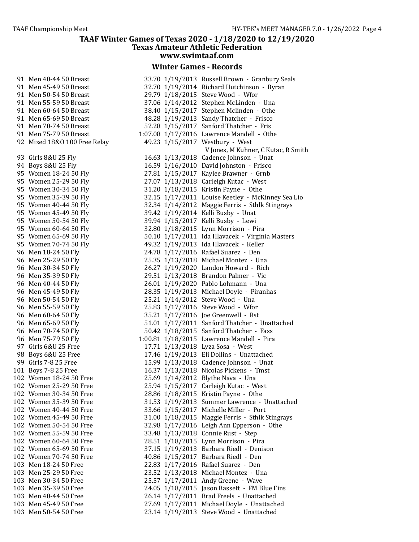#### **Winter Games - Records**

| 91  | Men 40-44 50 Breast        |
|-----|----------------------------|
| 91  | Men 45-49 50 Breast        |
| 91  | Men 50-54 50 Breast        |
| 91  | Men 55-59 50 Breast        |
| 91  | Men 60-64 50 Breast        |
| 91  | Men 65-69 50 Breast        |
| 91  | Men 70-74 50 Breast        |
| 91  | Men 75-79 50 Breast        |
| 92  | Mixed 18&0 100 Free Rela   |
|     |                            |
| 93  | Girls 8&U 25 Fly           |
| 94  | Boys 8&U 25 Fly            |
| 95  | Women 18-24 50 Fly         |
| 95  | Women 25-29 50 Fly         |
| 95  | Women 30-34 50 Fly         |
| 95  | Women 35-39 50 Fly         |
| 95  | Women 40-44 50 Fly         |
| 95  | Women 45-49 50 Fly         |
| 95  | Women 50-54 50 Fly         |
|     | 95 Women 60-64 50 Fly      |
| 95  | Women 65-69 50 Fly         |
| 95  | Women 70-74 50 Fly         |
| 96  | Men 18-24 50 Fly           |
| 96  | Men 25-29 50 Fly           |
| 96  | Men 30-34 50 Fly           |
| 96  | Men 35-39 50 Fly           |
| 96  | Men 40-44 50 Fly           |
| 96  | Men 45-49 50 Fly           |
| 96  | Men 50-54 50 Fly           |
| 96  | Men 55-59 50 Fly           |
| 96  | Men 60-64 50 Fly           |
| 96  | Men 65-69 50 Fly           |
|     | 96 Men 70-74 50 Fly        |
|     | 96 Men 75-79 50 Fly        |
|     | 97 Girls 6&U 25 Free       |
|     | 98 Boys 6&U 25 Free        |
| 99  | Girls 7-8 25 Free          |
| .01 | <b>Boys 7-8 25 Free</b>    |
| 02  | Women 18-24 50 Free        |
| .02 | Women 25-29 50 Free        |
| 02  | Women 30-34 50 Free        |
| 02  | Women 35-39 50 Free        |
| 02  | Women 40-44 50 Free        |
| 02  | <b>Women 45-49 50 Free</b> |
| .02 | Women 50-54 50 Free        |
| 02  | Women 55-59 50 Free        |
| 02  | Women 60-64 50 Free        |
| 02  | Women 65-69 50 Free        |
| 02  | Women 70-74 50 Free        |
| .03 | Men 18-24 50 Free          |
| .03 | Men 25-29 50 Free          |
| 03  | Men 30-34 50 Free          |
| 03  | Men 35-39 50 Free          |
| 03  | Men 40-44 50 Free          |
| .03 | Men 45-49 50 Free          |
| .03 | Men 50-54 50 Free          |
|     |                            |

| 91 Men 40-44 50 Breast       | 33.70 1/19/2013 Russell Brown - Granbury Seals    |
|------------------------------|---------------------------------------------------|
| 91 Men 45-49 50 Breast       | 32.70 1/19/2014 Richard Hutchinson - Byran        |
| 91 Men 50-54 50 Breast       | 29.79 1/18/2015 Steve Wood - Wfor                 |
| 91 Men 55-59 50 Breast       | 37.06 1/14/2012 Stephen McLinden - Una            |
| 91 Men 60-64 50 Breast       | 38.40 1/15/2017 Stephen Mclinden - Othe           |
| 91 Men 65-69 50 Breast       | 48.28 1/19/2013 Sandy Thatcher - Frisco           |
| 91 Men 70-74 50 Breast       | 52.28 1/15/2017 Sanford Thatcher - Fris           |
| 91 Men 75-79 50 Breast       | 1:07.08 1/17/2016 Lawrence Mandell - Othe         |
| 92 Mixed 18&O 100 Free Relay | 49.23 1/15/2017 Westbury - West                   |
|                              | V Jones, M Kuhner, C Kutac, R Smith               |
| 93 Girls 8&U 25 Fly          | 16.63 1/13/2018 Cadence Johnson - Unat            |
| 94 Boys 8&U 25 Fly           | 16.59 1/16/2010 David Johnston - Frisco           |
| 95 Women 18-24 50 Fly        | 27.81 1/15/2017 Kaylee Brawner - Grnb             |
|                              | 27.07 1/13/2018 Carleigh Kutac - West             |
| 95 Women 25-29 50 Fly        |                                                   |
| 95 Women 30-34 50 Fly        | 31.20 1/18/2015 Kristin Payne - Othe              |
| 95 Women 35-39 50 Fly        | 32.15 1/17/2011 Louise Keetley - McKinney Sea Lio |
| 95 Women 40-44 50 Fly        | 32.34 1/14/2012 Maggie Ferris - Sthlk Stingrays   |
| 95 Women 45-49 50 Fly        | 39.42 1/19/2014 Kelli Busby - Unat                |
| 95 Women 50-54 50 Fly        | 39.94 1/15/2017 Kelli Busby - Lewi                |
| 95 Women 60-64 50 Fly        | 32.80 1/18/2015 Lynn Morrison - Pira              |
| 95 Women 65-69 50 Fly        | 50.10 1/17/2011 Ida Hlavacek - Virginia Masters   |
| 95 Women 70-74 50 Fly        | 49.32 1/19/2013 Ida Hlavacek - Keller             |
| 96 Men 18-24 50 Fly          | 24.78 1/17/2016 Rafael Suarez - Den               |
| 96 Men 25-29 50 Fly          | 25.35 1/13/2018 Michael Montez - Una              |
| 96 Men 30-34 50 Fly          | 26.27 1/19/2020 Landon Howard - Rich              |
| 96 Men 35-39 50 Fly          | 29.51 1/13/2018 Brandon Palmer - Vic              |
| 96 Men 40-44 50 Fly          | 26.01 1/19/2020 Pablo Lohmann - Una               |
| 96 Men 45-49 50 Fly          | 28.35 1/19/2013 Michael Doyle - Piranhas          |
| 96 Men 50-54 50 Fly          | 25.21 1/14/2012 Steve Wood - Una                  |
| 96 Men 55-59 50 Fly          | 25.83 1/17/2016 Steve Wood - Wfor                 |
| 96 Men 60-64 50 Fly          | 35.21 1/17/2016 Joe Greenwell - Rst               |
| 96 Men 65-69 50 Fly          | 51.01 1/17/2011 Sanford Thatcher - Unattached     |
| 96 Men 70-74 50 Fly          | 50.42 1/18/2015 Sanford Thatcher - Fass           |
| 96 Men 75-79 50 Fly          | 1:00.81 1/18/2015 Lawrence Mandell - Pira         |
| 97 Girls 6&U 25 Free         | 17.71 1/13/2018 Lyza Sosa - West                  |
| 98 Boys 6&U 25 Free          | 17.46 1/19/2013 Eli Dollins - Unattached          |
| 99 Girls 7-8 25 Free         | 15.99 1/13/2018 Cadence Johnson - Unat            |
| 101 Boys 7-8 25 Free         | 16.37 1/13/2018 Nicolas Pickens - Tmst            |
| 102 Women 18-24 50 Free      | 25.69 1/14/2012 Blythe Nava - Una                 |
| 102 Women 25-29 50 Free      | 25.94 1/15/2017 Carleigh Kutac - West             |
| 102 Women 30-34 50 Free      | 28.86 1/18/2015 Kristin Payne - Othe              |
| 102 Women 35-39 50 Free      | 31.53 1/19/2013 Summer Lawrence - Unattached      |
|                              |                                                   |
| 102 Women 40-44 50 Free      | 33.66 1/15/2017 Michelle Miller - Port            |
| 102 Women 45-49 50 Free      | 31.00 1/18/2015 Maggie Ferris - Sthlk Stingrays   |
| 102 Women 50-54 50 Free      | 32.98 1/17/2016 Leigh Ann Epperson - Othe         |
| 102 Women 55-59 50 Free      | 33.48 1/13/2018 Connie Rust - Step                |
| 102 Women 60-64 50 Free      | 28.51 1/18/2015 Lynn Morrison - Pira              |
| 102 Women 65-69 50 Free      | 37.15 1/19/2013 Barbara Riedl - Denison           |
| 102 Women 70-74 50 Free      | 40.86 1/15/2017 Barbara Riedl - Den               |
| 103 Men 18-24 50 Free        | 22.83 1/17/2016 Rafael Suarez - Den               |
| 103 Men 25-29 50 Free        | 23.52 1/13/2018 Michael Montez - Una              |
| 103 Men 30-34 50 Free        | 25.57 1/17/2011 Andy Greene - Wave                |
| 103 Men 35-39 50 Free        | 24.05 1/18/2015 Jason Bassett - FM Blue Fins      |
| 103 Men 40-44 50 Free        | 26.14 1/17/2011 Brad Freels - Unattached          |
| 103 Men 45-49 50 Free        | 27.69 1/17/2011 Michael Doyle - Unattached        |
| 103 Men 50-54 50 Free        | 23.14 1/19/2013 Steve Wood - Unattached           |
|                              |                                                   |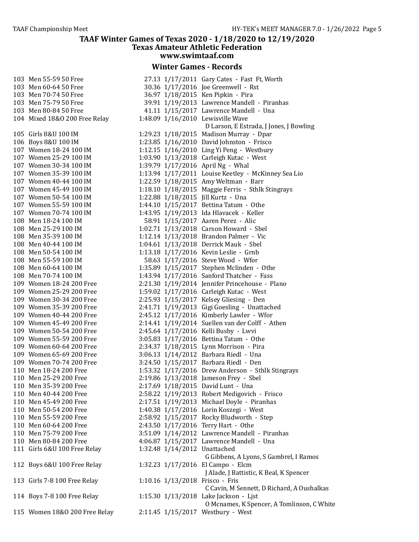#### **Winter Games - Records**

103 Men 55-59 50 Free 103 Men 60-64 50 Free 103 Men 70-74 50 Free 103 Men 75-79 50 Free 103 Men 80-84 50 Free 104 Mixed 18&0 200 Free Relay 105 Girls 8&U 100 IM 106 Boys 8&U 100 IM 107 Women 18-24 100 IM 107 Women 25-29 100 IM 107 Women 30-34 100 IM 107 Women 35-39 100 IM 107 Women 40-44 100 IM 107 Women 45-49 100 IM 107 Women 50-54 100 IM 107 Women 55-59 100 IM 107 Women 70-74 100 IM 108 Men 18-24 100 IM 108 Men 25-29 100 IM 108 Men 35-39 100 IM 108 Men 40-44 100 IM 108 Men 50-54 100 IM 108 Men 55-59 100 IM 108 Men 60-64 100 IM 108 Men 70-74 100 IM 109 Women 18-24 200 Free 109 Women 25-29 200 Free 109 Women 30-34 200 Free 109 Women 35-39 200 Free 109 Women 40-44 200 Free 109 Women 45-49 200 Free 109 Women 50-54 200 Free 109 Women 55-59 200 Free 109 Women 60-64 200 Free 109 Women 65-69 200 Free 109 Women 70-74 200 Free 110 Men 18-24 200 Free 110 Men 25-29 200 Free 110 Men 35-39 200 Free 110 Men 40-44 200 Free 110 Men 45-49 200 Free 110 Men 50-54 200 Free 110 Men 55-59 200 Free 110 Men 60-64 200 Free 110 Men 75-79 200 Free 110 Men 80-84 200 Free 111 Girls 6&U 100 Free Relay 112 Boys 6&U 100 Free Relay 113 Girls 7-8 100 Free Relay 114 Boys 7-8 100 Free Relay 115 Women 18&0 200 Free Relay

| 27.13 1/17/2011   | Gary Cates - Fast Ft, Worth                                                                                                                                                                                                                                                                                                                                                                                                                                                                                                                                                                                                                                                                                          |
|-------------------|----------------------------------------------------------------------------------------------------------------------------------------------------------------------------------------------------------------------------------------------------------------------------------------------------------------------------------------------------------------------------------------------------------------------------------------------------------------------------------------------------------------------------------------------------------------------------------------------------------------------------------------------------------------------------------------------------------------------|
| 30.36 1/17/2016   | Joe Greenwell - Rst                                                                                                                                                                                                                                                                                                                                                                                                                                                                                                                                                                                                                                                                                                  |
|                   | Ken Pipkin - Pira                                                                                                                                                                                                                                                                                                                                                                                                                                                                                                                                                                                                                                                                                                    |
|                   | Lawrence Mandell - Piranhas                                                                                                                                                                                                                                                                                                                                                                                                                                                                                                                                                                                                                                                                                          |
|                   | Lawrence Mandell - Una                                                                                                                                                                                                                                                                                                                                                                                                                                                                                                                                                                                                                                                                                               |
|                   | Lewisville Wave                                                                                                                                                                                                                                                                                                                                                                                                                                                                                                                                                                                                                                                                                                      |
|                   | D Larson, E Estrada, J Jones, J Bowling                                                                                                                                                                                                                                                                                                                                                                                                                                                                                                                                                                                                                                                                              |
| 1:29.23 1/18/2015 | Madison Murray - Dpar                                                                                                                                                                                                                                                                                                                                                                                                                                                                                                                                                                                                                                                                                                |
| 1:23.85 1/16/2010 | David Johnston - Frisco                                                                                                                                                                                                                                                                                                                                                                                                                                                                                                                                                                                                                                                                                              |
|                   | Ling Yi Peng - Westbury                                                                                                                                                                                                                                                                                                                                                                                                                                                                                                                                                                                                                                                                                              |
|                   | Carleigh Kutac - West                                                                                                                                                                                                                                                                                                                                                                                                                                                                                                                                                                                                                                                                                                |
|                   | April Ng - Whal                                                                                                                                                                                                                                                                                                                                                                                                                                                                                                                                                                                                                                                                                                      |
|                   | Louise Keetley - McKinney Sea Lio                                                                                                                                                                                                                                                                                                                                                                                                                                                                                                                                                                                                                                                                                    |
|                   | Amy Weltman - Barr                                                                                                                                                                                                                                                                                                                                                                                                                                                                                                                                                                                                                                                                                                   |
|                   | Maggie Ferris - Sthlk Stingrays                                                                                                                                                                                                                                                                                                                                                                                                                                                                                                                                                                                                                                                                                      |
|                   |                                                                                                                                                                                                                                                                                                                                                                                                                                                                                                                                                                                                                                                                                                                      |
|                   | Bettina Tatum - Othe                                                                                                                                                                                                                                                                                                                                                                                                                                                                                                                                                                                                                                                                                                 |
|                   |                                                                                                                                                                                                                                                                                                                                                                                                                                                                                                                                                                                                                                                                                                                      |
|                   | Aaren Perez - Alic                                                                                                                                                                                                                                                                                                                                                                                                                                                                                                                                                                                                                                                                                                   |
|                   | Carson Howard - Sbel                                                                                                                                                                                                                                                                                                                                                                                                                                                                                                                                                                                                                                                                                                 |
|                   | Brandon Palmer - Vic                                                                                                                                                                                                                                                                                                                                                                                                                                                                                                                                                                                                                                                                                                 |
|                   | Derrick Mauk - Sbel                                                                                                                                                                                                                                                                                                                                                                                                                                                                                                                                                                                                                                                                                                  |
|                   | Kevin Leslie - Grnb                                                                                                                                                                                                                                                                                                                                                                                                                                                                                                                                                                                                                                                                                                  |
|                   | Steve Wood - Wfor                                                                                                                                                                                                                                                                                                                                                                                                                                                                                                                                                                                                                                                                                                    |
|                   | Stephen Mclinden - Othe                                                                                                                                                                                                                                                                                                                                                                                                                                                                                                                                                                                                                                                                                              |
|                   | Sanford Thatcher - Fass                                                                                                                                                                                                                                                                                                                                                                                                                                                                                                                                                                                                                                                                                              |
|                   | Jennifer Princehouse - Plano                                                                                                                                                                                                                                                                                                                                                                                                                                                                                                                                                                                                                                                                                         |
| 1:59.02 1/17/2016 | Carleigh Kutac - West                                                                                                                                                                                                                                                                                                                                                                                                                                                                                                                                                                                                                                                                                                |
|                   | Kelsey Gliesing - Den                                                                                                                                                                                                                                                                                                                                                                                                                                                                                                                                                                                                                                                                                                |
| 2:41.71 1/19/2013 | Gigi Goesling - Unattached                                                                                                                                                                                                                                                                                                                                                                                                                                                                                                                                                                                                                                                                                           |
| 2:45.12 1/17/2016 | Kimberly Lawler - Wfor                                                                                                                                                                                                                                                                                                                                                                                                                                                                                                                                                                                                                                                                                               |
| 2:14.41 1/19/2014 | Suellen van der Colff - Athen                                                                                                                                                                                                                                                                                                                                                                                                                                                                                                                                                                                                                                                                                        |
| 2:45.64 1/17/2016 | Kelli Busby - Lwvi                                                                                                                                                                                                                                                                                                                                                                                                                                                                                                                                                                                                                                                                                                   |
|                   | Bettina Tatum - Othe                                                                                                                                                                                                                                                                                                                                                                                                                                                                                                                                                                                                                                                                                                 |
| 2:34.37 1/18/2015 | Lynn Morrison - Pira                                                                                                                                                                                                                                                                                                                                                                                                                                                                                                                                                                                                                                                                                                 |
| 3:06.13 1/14/2012 | Barbara Riedl - Una                                                                                                                                                                                                                                                                                                                                                                                                                                                                                                                                                                                                                                                                                                  |
| 3:24.50 1/15/2017 | Barbara Riedl - Den                                                                                                                                                                                                                                                                                                                                                                                                                                                                                                                                                                                                                                                                                                  |
| 1:53.32 1/17/2016 | Drew Anderson - Sthlk Stingrays                                                                                                                                                                                                                                                                                                                                                                                                                                                                                                                                                                                                                                                                                      |
| 2:19.86 1/13/2018 | Jameson Frey - Sbel                                                                                                                                                                                                                                                                                                                                                                                                                                                                                                                                                                                                                                                                                                  |
| 2:17.69 1/18/2015 | David Lunt - Una                                                                                                                                                                                                                                                                                                                                                                                                                                                                                                                                                                                                                                                                                                     |
|                   | Robert Medigovich - Frisco                                                                                                                                                                                                                                                                                                                                                                                                                                                                                                                                                                                                                                                                                           |
|                   | 2:17.51 1/19/2013 Michael Doyle - Piranhas                                                                                                                                                                                                                                                                                                                                                                                                                                                                                                                                                                                                                                                                           |
|                   | Lorin Koszegi - West                                                                                                                                                                                                                                                                                                                                                                                                                                                                                                                                                                                                                                                                                                 |
|                   | Rocky Bludworth - Step                                                                                                                                                                                                                                                                                                                                                                                                                                                                                                                                                                                                                                                                                               |
|                   | Terry Hart - Othe                                                                                                                                                                                                                                                                                                                                                                                                                                                                                                                                                                                                                                                                                                    |
|                   | Lawrence Mandell - Piranhas                                                                                                                                                                                                                                                                                                                                                                                                                                                                                                                                                                                                                                                                                          |
|                   | Lawrence Mandell - Una                                                                                                                                                                                                                                                                                                                                                                                                                                                                                                                                                                                                                                                                                               |
| 1:32.48 1/14/2012 | Unattached                                                                                                                                                                                                                                                                                                                                                                                                                                                                                                                                                                                                                                                                                                           |
|                   | G Gibbens, A Lyons, S Gambrel, I Ramos                                                                                                                                                                                                                                                                                                                                                                                                                                                                                                                                                                                                                                                                               |
| 1:32.23 1/17/2016 | El Campo - Elcm                                                                                                                                                                                                                                                                                                                                                                                                                                                                                                                                                                                                                                                                                                      |
|                   | J Alade, J Battistic, K Beal, K Spencer                                                                                                                                                                                                                                                                                                                                                                                                                                                                                                                                                                                                                                                                              |
| 1:10.16 1/13/2018 | Frisco - Fris                                                                                                                                                                                                                                                                                                                                                                                                                                                                                                                                                                                                                                                                                                        |
|                   | C Cavin, M Sennett, D Richard, A Oushalkas                                                                                                                                                                                                                                                                                                                                                                                                                                                                                                                                                                                                                                                                           |
| 1:15.30 1/13/2018 | Lake Jackson - Ljst                                                                                                                                                                                                                                                                                                                                                                                                                                                                                                                                                                                                                                                                                                  |
|                   | O Mcnames, K Spencer, A Tomlinson, C White                                                                                                                                                                                                                                                                                                                                                                                                                                                                                                                                                                                                                                                                           |
|                   |                                                                                                                                                                                                                                                                                                                                                                                                                                                                                                                                                                                                                                                                                                                      |
|                   | 36.97 1/18/2015<br>39.91 1/19/2013<br>41.11 1/15/2017<br>1:48.09 1/16/2010<br>1:12.15 1/16/2010<br>1:03.90 1/13/2018<br>1:39.79 1/17/2016<br>1:13.94 1/17/2011<br>1:22.59 1/18/2015<br>1:18.10 1/18/2015<br>1:22.88 1/18/2015 Jill Kurtz - Una<br>1:44.10 1/15/2017<br>1:43.95 1/19/2013 Ida Hlavacek - Keller<br>58.91 1/15/2017<br>1:02.71 1/13/2018<br>1:12.14 1/13/2018<br>1:04.61 1/13/2018<br>1:13.18 1/17/2016<br>58.63 1/17/2016<br>1:35.89 1/15/2017<br>1:43.94 1/17/2016<br>2:21.30 1/19/2014<br>2:25.93 1/15/2017<br>3:05.83 1/17/2016<br>2:58.22 1/19/2013<br>1:40.38 1/17/2016<br>2:58.92 1/15/2017<br>2:43.50 1/17/2016<br>3:51.09 1/14/2012<br>4:06.87 1/15/2017<br>2:11.45 1/15/2017 Westbury - West |